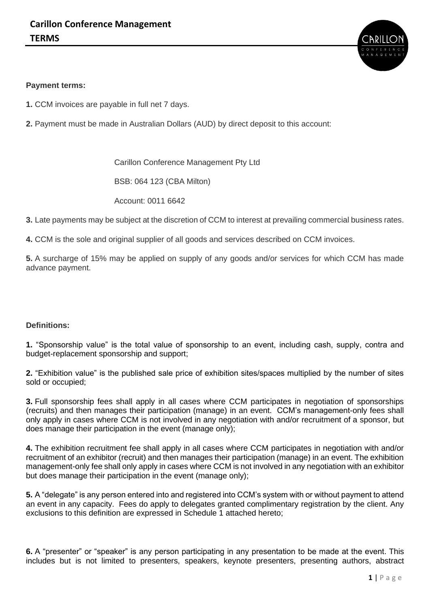

## **Payment terms:**

- **1.** CCM invoices are payable in full net 7 days.
- **2.** Payment must be made in Australian Dollars (AUD) by direct deposit to this account:

Carillon Conference Management Pty Ltd

BSB: 064 123 (CBA Milton)

Account: 0011 6642

- **3.** Late payments may be subject at the discretion of CCM to interest at prevailing commercial business rates.
- **4.** CCM is the sole and original supplier of all goods and services described on CCM invoices.

**5.** A surcharge of 15% may be applied on supply of any goods and/or services for which CCM has made advance payment.

## **Definitions:**

**1.** "Sponsorship value" is the total value of sponsorship to an event, including cash, supply, contra and budget-replacement sponsorship and support;

**2.** "Exhibition value" is the published sale price of exhibition sites/spaces multiplied by the number of sites sold or occupied;

**3.** Full sponsorship fees shall apply in all cases where CCM participates in negotiation of sponsorships (recruits) and then manages their participation (manage) in an event. CCM's management-only fees shall only apply in cases where CCM is not involved in any negotiation with and/or recruitment of a sponsor, but does manage their participation in the event (manage only);

**4.** The exhibition recruitment fee shall apply in all cases where CCM participates in negotiation with and/or recruitment of an exhibitor (recruit) and then manages their participation (manage) in an event. The exhibition management-only fee shall only apply in cases where CCM is not involved in any negotiation with an exhibitor but does manage their participation in the event (manage only);

**5.** A "delegate" is any person entered into and registered into CCM's system with or without payment to attend an event in any capacity. Fees do apply to delegates granted complimentary registration by the client. Any exclusions to this definition are expressed in Schedule 1 attached hereto;

**6.** A "presenter" or "speaker" is any person participating in any presentation to be made at the event. This includes but is not limited to presenters, speakers, keynote presenters, presenting authors, abstract